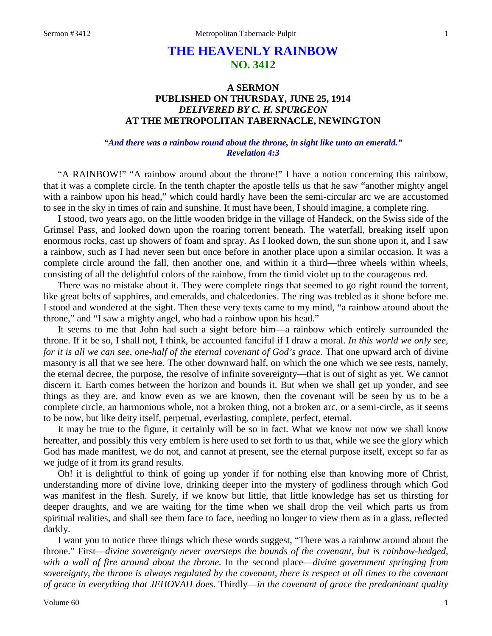# **THE HEAVENLY RAINBOW NO. 3412**

## **A SERMON PUBLISHED ON THURSDAY, JUNE 25, 1914** *DELIVERED BY C. H. SPURGEON* **AT THE METROPOLITAN TABERNACLE, NEWINGTON**

### *"And there was a rainbow round about the throne, in sight like unto an emerald." Revelation 4:3*

"A RAINBOW!" "A rainbow around about the throne!" I have a notion concerning this rainbow, that it was a complete circle. In the tenth chapter the apostle tells us that he saw "another mighty angel with a rainbow upon his head," which could hardly have been the semi-circular arc we are accustomed to see in the sky in times of rain and sunshine. It must have been, I should imagine, a complete ring.

I stood, two years ago, on the little wooden bridge in the village of Handeck, on the Swiss side of the Grimsel Pass, and looked down upon the roaring torrent beneath. The waterfall, breaking itself upon enormous rocks, cast up showers of foam and spray. As I looked down, the sun shone upon it, and I saw a rainbow, such as I had never seen but once before in another place upon a similar occasion. It was a complete circle around the fall, then another one, and within it a third—three wheels within wheels, consisting of all the delightful colors of the rainbow, from the timid violet up to the courageous red.

There was no mistake about it. They were complete rings that seemed to go right round the torrent, like great belts of sapphires, and emeralds, and chalcedonies. The ring was trebled as it shone before me. I stood and wondered at the sight. Then these very texts came to my mind, "a rainbow around about the throne," and "I saw a mighty angel, who had a rainbow upon his head."

It seems to me that John had such a sight before him—a rainbow which entirely surrounded the throne. If it be so, I shall not, I think, be accounted fanciful if I draw a moral. *In this world we only see, for it is all we can see, one-half of the eternal covenant of God's grace*. That one upward arch of divine masonry is all that we see here. The other downward half, on which the one which we see rests, namely, the eternal decree, the purpose, the resolve of infinite sovereignty—that is out of sight as yet. We cannot discern it. Earth comes between the horizon and bounds it. But when we shall get up yonder, and see things as they are, and know even as we are known, then the covenant will be seen by us to be a complete circle, an harmonious whole, not a broken thing, not a broken arc, or a semi-circle, as it seems to be now, but like deity itself, perpetual, everlasting, complete, perfect, eternal.

It may be true to the figure, it certainly will be so in fact. What we know not now we shall know hereafter, and possibly this very emblem is here used to set forth to us that, while we see the glory which God has made manifest, we do not, and cannot at present, see the eternal purpose itself, except so far as we judge of it from its grand results.

Oh! it is delightful to think of going up yonder if for nothing else than knowing more of Christ, understanding more of divine love, drinking deeper into the mystery of godliness through which God was manifest in the flesh. Surely, if we know but little, that little knowledge has set us thirsting for deeper draughts, and we are waiting for the time when we shall drop the veil which parts us from spiritual realities, and shall see them face to face, needing no longer to view them as in a glass, reflected darkly.

I want you to notice three things which these words suggest, "There was a rainbow around about the throne." First—*divine sovereignty never oversteps the bounds of the covenant, but is rainbow-hedged, with a wall of fire around about the throne.* In the second place—*divine government springing from sovereignty, the throne is always regulated by the covenant, there is respect at all times to the covenant of grace in everything that JEHOVAH does*. Thirdly—*in the covenant of grace the predominant quality*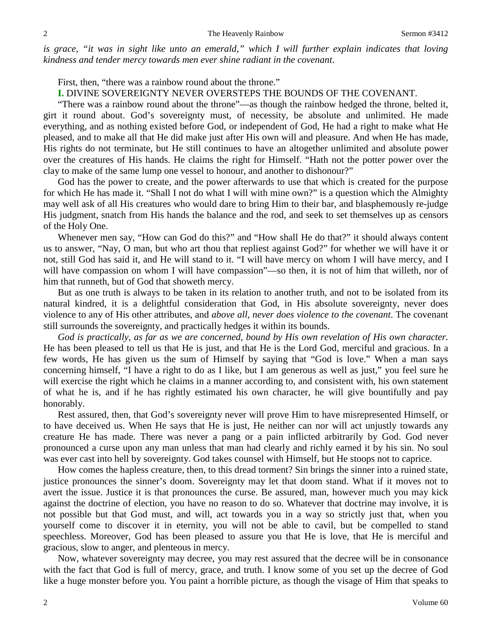*is grace, "it was in sight like unto an emerald," which I will further explain indicates that loving kindness and tender mercy towards men ever shine radiant in the covenant*.

First, then, "there was a rainbow round about the throne."

#### **I.** DIVINE SOVEREIGNTY NEVER OVERSTEPS THE BOUNDS OF THE COVENANT.

"There was a rainbow round about the throne"—as though the rainbow hedged the throne, belted it, girt it round about. God's sovereignty must, of necessity, be absolute and unlimited. He made everything, and as nothing existed before God, or independent of God, He had a right to make what He pleased, and to make all that He did make just after His own will and pleasure. And when He has made, His rights do not terminate, but He still continues to have an altogether unlimited and absolute power over the creatures of His hands. He claims the right for Himself. "Hath not the potter power over the clay to make of the same lump one vessel to honour, and another to dishonour?"

God has the power to create, and the power afterwards to use that which is created for the purpose for which He has made it. "Shall I not do what I will with mine own?" is a question which the Almighty may well ask of all His creatures who would dare to bring Him to their bar, and blasphemously re-judge His judgment, snatch from His hands the balance and the rod, and seek to set themselves up as censors of the Holy One.

Whenever men say, "How can God do this?" and "How shall He do that?" it should always content us to answer, "Nay, O man, but who art thou that repliest against God?" for whether we will have it or not, still God has said it, and He will stand to it. "I will have mercy on whom I will have mercy, and I will have compassion on whom I will have compassion"—so then, it is not of him that willeth, nor of him that runneth, but of God that showeth mercy.

But as one truth is always to be taken in its relation to another truth, and not to be isolated from its natural kindred, it is a delightful consideration that God, in His absolute sovereignty, never does violence to any of His other attributes, and *above all, never does violence to the covenant*. The covenant still surrounds the sovereignty, and practically hedges it within its bounds.

*God is practically, as far as we are concerned, bound by His own revelation of His own character.*  He has been pleased to tell us that He is just, and that He is the Lord God, merciful and gracious. In a few words, He has given us the sum of Himself by saying that "God is love." When a man says concerning himself, "I have a right to do as I like, but I am generous as well as just," you feel sure he will exercise the right which he claims in a manner according to, and consistent with, his own statement of what he is, and if he has rightly estimated his own character, he will give bountifully and pay honorably.

Rest assured, then, that God's sovereignty never will prove Him to have misrepresented Himself, or to have deceived us. When He says that He is just, He neither can nor will act unjustly towards any creature He has made. There was never a pang or a pain inflicted arbitrarily by God. God never pronounced a curse upon any man unless that man had clearly and richly earned it by his sin. No soul was ever cast into hell by sovereignty. God takes counsel with Himself, but He stoops not to caprice.

How comes the hapless creature, then, to this dread torment? Sin brings the sinner into a ruined state, justice pronounces the sinner's doom. Sovereignty may let that doom stand. What if it moves not to avert the issue. Justice it is that pronounces the curse. Be assured, man, however much you may kick against the doctrine of election, you have no reason to do so. Whatever that doctrine may involve, it is not possible but that God must, and will, act towards you in a way so strictly just that, when you yourself come to discover it in eternity, you will not be able to cavil, but be compelled to stand speechless. Moreover, God has been pleased to assure you that He is love, that He is merciful and gracious, slow to anger, and plenteous in mercy.

Now, whatever sovereignty may decree, you may rest assured that the decree will be in consonance with the fact that God is full of mercy, grace, and truth. I know some of you set up the decree of God like a huge monster before you. You paint a horrible picture, as though the visage of Him that speaks to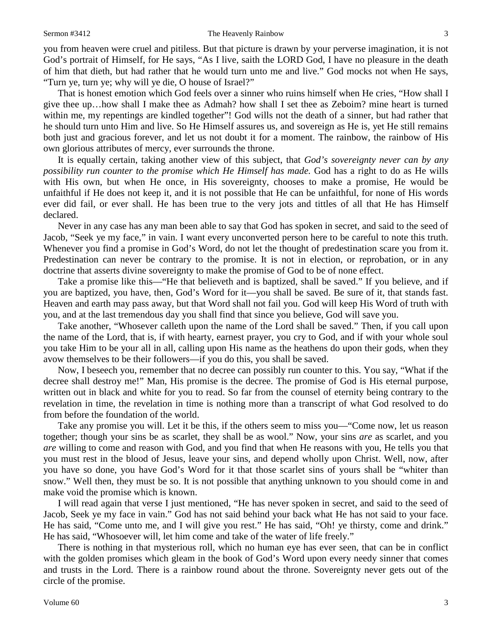you from heaven were cruel and pitiless. But that picture is drawn by your perverse imagination, it is not God's portrait of Himself, for He says, "As I live, saith the LORD God, I have no pleasure in the death of him that dieth, but had rather that he would turn unto me and live." God mocks not when He says, "Turn ye, turn ye; why will ye die, O house of Israel?"

That is honest emotion which God feels over a sinner who ruins himself when He cries, "How shall I give thee up…how shall I make thee as Admah? how shall I set thee as Zeboim? mine heart is turned within me, my repentings are kindled together"! God wills not the death of a sinner, but had rather that he should turn unto Him and live. So He Himself assures us, and sovereign as He is, yet He still remains both just and gracious forever, and let us not doubt it for a moment. The rainbow, the rainbow of His own glorious attributes of mercy, ever surrounds the throne.

It is equally certain, taking another view of this subject, that *God's sovereignty never can by any possibility run counter to the promise which He Himself has made.* God has a right to do as He wills with His own, but when He once, in His sovereignty, chooses to make a promise, He would be unfaithful if He does not keep it, and it is not possible that He can be unfaithful, for none of His words ever did fail, or ever shall. He has been true to the very jots and tittles of all that He has Himself declared.

Never in any case has any man been able to say that God has spoken in secret, and said to the seed of Jacob, "Seek ye my face," in vain. I want every unconverted person here to be careful to note this truth. Whenever you find a promise in God's Word, do not let the thought of predestination scare you from it. Predestination can never be contrary to the promise. It is not in election, or reprobation, or in any doctrine that asserts divine sovereignty to make the promise of God to be of none effect.

Take a promise like this—"He that believeth and is baptized, shall be saved." If you believe, and if you are baptized, you have, then, God's Word for it—you shall be saved. Be sure of it, that stands fast. Heaven and earth may pass away, but that Word shall not fail you. God will keep His Word of truth with you, and at the last tremendous day you shall find that since you believe, God will save you.

Take another, "Whosever calleth upon the name of the Lord shall be saved." Then, if you call upon the name of the Lord, that is, if with hearty, earnest prayer, you cry to God, and if with your whole soul you take Him to be your all in all, calling upon His name as the heathens do upon their gods, when they avow themselves to be their followers—if you do this, you shall be saved.

Now, I beseech you, remember that no decree can possibly run counter to this. You say, "What if the decree shall destroy me!" Man, His promise is the decree. The promise of God is His eternal purpose, written out in black and white for you to read. So far from the counsel of eternity being contrary to the revelation in time, the revelation in time is nothing more than a transcript of what God resolved to do from before the foundation of the world.

Take any promise you will. Let it be this, if the others seem to miss you—"Come now, let us reason together; though your sins be as scarlet, they shall be as wool." Now, your sins *are* as scarlet, and you *are* willing to come and reason with God, and you find that when He reasons with you, He tells you that you must rest in the blood of Jesus, leave your sins, and depend wholly upon Christ. Well, now, after you have so done, you have God's Word for it that those scarlet sins of yours shall be "whiter than snow." Well then, they must be so. It is not possible that anything unknown to you should come in and make void the promise which is known.

I will read again that verse I just mentioned, "He has never spoken in secret, and said to the seed of Jacob, Seek ye my face in vain." God has not said behind your back what He has not said to your face. He has said, "Come unto me, and I will give you rest." He has said, "Oh! ye thirsty, come and drink." He has said, "Whosoever will, let him come and take of the water of life freely."

There is nothing in that mysterious roll, which no human eye has ever seen, that can be in conflict with the golden promises which gleam in the book of God's Word upon every needy sinner that comes and trusts in the Lord. There is a rainbow round about the throne. Sovereignty never gets out of the circle of the promise.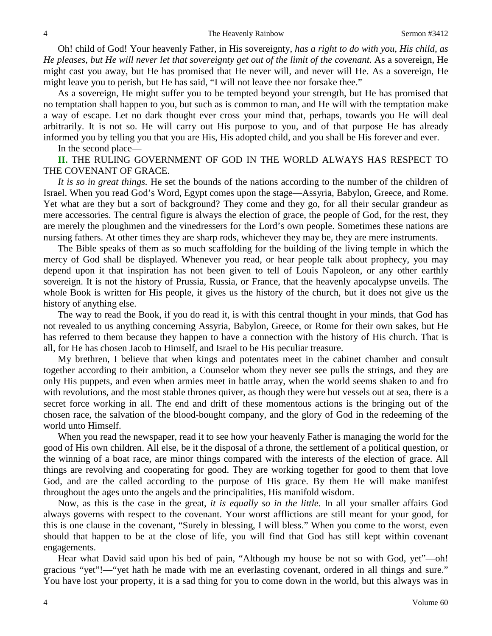Oh! child of God! Your heavenly Father, in His sovereignty, *has a right to do with you, His child, as He pleases, but He will never let that sovereignty get out of the limit of the covenant.* As a sovereign, He might cast you away, but He has promised that He never will, and never will He. As a sovereign, He might leave you to perish, but He has said, "I will not leave thee nor forsake thee."

As a sovereign, He might suffer you to be tempted beyond your strength, but He has promised that no temptation shall happen to you, but such as is common to man, and He will with the temptation make a way of escape. Let no dark thought ever cross your mind that, perhaps, towards you He will deal arbitrarily. It is not so. He will carry out His purpose to you, and of that purpose He has already informed you by telling you that you are His, His adopted child, and you shall be His forever and ever.

In the second place—

## **II.** THE RULING GOVERNMENT OF GOD IN THE WORLD ALWAYS HAS RESPECT TO THE COVENANT OF GRACE.

*It is so in great things.* He set the bounds of the nations according to the number of the children of Israel. When you read God's Word, Egypt comes upon the stage—Assyria, Babylon, Greece, and Rome. Yet what are they but a sort of background? They come and they go, for all their secular grandeur as mere accessories. The central figure is always the election of grace, the people of God, for the rest, they are merely the ploughmen and the vinedressers for the Lord's own people. Sometimes these nations are nursing fathers. At other times they are sharp rods, whichever they may be, they are mere instruments.

The Bible speaks of them as so much scaffolding for the building of the living temple in which the mercy of God shall be displayed. Whenever you read, or hear people talk about prophecy, you may depend upon it that inspiration has not been given to tell of Louis Napoleon, or any other earthly sovereign. It is not the history of Prussia, Russia, or France, that the heavenly apocalypse unveils. The whole Book is written for His people, it gives us the history of the church, but it does not give us the history of anything else.

The way to read the Book, if you do read it, is with this central thought in your minds, that God has not revealed to us anything concerning Assyria, Babylon, Greece, or Rome for their own sakes, but He has referred to them because they happen to have a connection with the history of His church. That is all, for He has chosen Jacob to Himself, and Israel to be His peculiar treasure.

My brethren, I believe that when kings and potentates meet in the cabinet chamber and consult together according to their ambition, a Counselor whom they never see pulls the strings, and they are only His puppets, and even when armies meet in battle array, when the world seems shaken to and fro with revolutions, and the most stable thrones quiver, as though they were but vessels out at sea, there is a secret force working in all. The end and drift of these momentous actions is the bringing out of the chosen race, the salvation of the blood-bought company, and the glory of God in the redeeming of the world unto Himself.

When you read the newspaper, read it to see how your heavenly Father is managing the world for the good of His own children. All else, be it the disposal of a throne, the settlement of a political question, or the winning of a boat race, are minor things compared with the interests of the election of grace. All things are revolving and cooperating for good. They are working together for good to them that love God, and are the called according to the purpose of His grace. By them He will make manifest throughout the ages unto the angels and the principalities, His manifold wisdom.

Now, as this is the case in the great, *it is equally so in the little*. In all your smaller affairs God always governs with respect to the covenant. Your worst afflictions are still meant for your good, for this is one clause in the covenant, "Surely in blessing, I will bless." When you come to the worst, even should that happen to be at the close of life, you will find that God has still kept within covenant engagements.

Hear what David said upon his bed of pain, "Although my house be not so with God, yet"—oh! gracious "yet"!—"yet hath he made with me an everlasting covenant, ordered in all things and sure." You have lost your property, it is a sad thing for you to come down in the world, but this always was in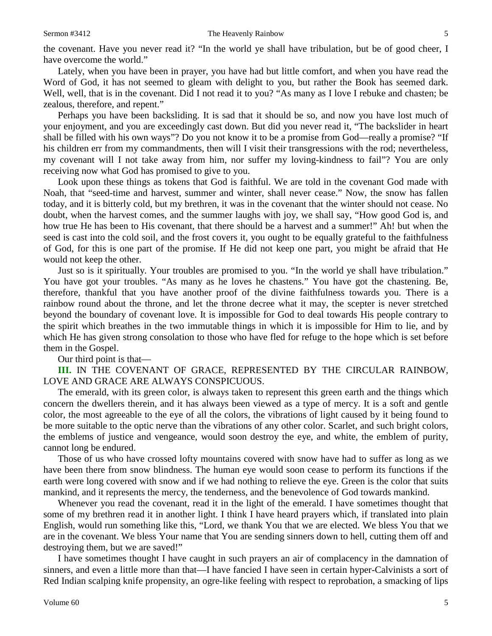the covenant. Have you never read it? "In the world ye shall have tribulation, but be of good cheer, I have overcome the world."

Lately, when you have been in prayer, you have had but little comfort, and when you have read the Word of God, it has not seemed to gleam with delight to you, but rather the Book has seemed dark. Well, well, that is in the covenant. Did I not read it to you? "As many as I love I rebuke and chasten; be zealous, therefore, and repent."

Perhaps you have been backsliding. It is sad that it should be so, and now you have lost much of your enjoyment, and you are exceedingly cast down. But did you never read it, "The backslider in heart shall be filled with his own ways"? Do you not know it to be a promise from God—really a promise? "If his children err from my commandments, then will I visit their transgressions with the rod; nevertheless, my covenant will I not take away from him, nor suffer my loving-kindness to fail"? You are only receiving now what God has promised to give to you.

Look upon these things as tokens that God is faithful. We are told in the covenant God made with Noah, that "seed-time and harvest, summer and winter, shall never cease." Now, the snow has fallen today, and it is bitterly cold, but my brethren, it was in the covenant that the winter should not cease. No doubt, when the harvest comes, and the summer laughs with joy, we shall say, "How good God is, and how true He has been to His covenant, that there should be a harvest and a summer!" Ah! but when the seed is cast into the cold soil, and the frost covers it, you ought to be equally grateful to the faithfulness of God, for this is one part of the promise. If He did not keep one part, you might be afraid that He would not keep the other.

Just so is it spiritually. Your troubles are promised to you. "In the world ye shall have tribulation." You have got your troubles. "As many as he loves he chastens." You have got the chastening. Be, therefore, thankful that you have another proof of the divine faithfulness towards you. There is a rainbow round about the throne, and let the throne decree what it may, the scepter is never stretched beyond the boundary of covenant love. It is impossible for God to deal towards His people contrary to the spirit which breathes in the two immutable things in which it is impossible for Him to lie, and by which He has given strong consolation to those who have fled for refuge to the hope which is set before them in the Gospel.

Our third point is that—

**III.** IN THE COVENANT OF GRACE, REPRESENTED BY THE CIRCULAR RAINBOW, LOVE AND GRACE ARE ALWAYS CONSPICUOUS.

The emerald, with its green color, is always taken to represent this green earth and the things which concern the dwellers therein, and it has always been viewed as a type of mercy. It is a soft and gentle color, the most agreeable to the eye of all the colors, the vibrations of light caused by it being found to be more suitable to the optic nerve than the vibrations of any other color. Scarlet, and such bright colors, the emblems of justice and vengeance, would soon destroy the eye, and white, the emblem of purity, cannot long be endured.

Those of us who have crossed lofty mountains covered with snow have had to suffer as long as we have been there from snow blindness. The human eye would soon cease to perform its functions if the earth were long covered with snow and if we had nothing to relieve the eye. Green is the color that suits mankind, and it represents the mercy, the tenderness, and the benevolence of God towards mankind.

Whenever you read the covenant, read it in the light of the emerald. I have sometimes thought that some of my brethren read it in another light. I think I have heard prayers which, if translated into plain English, would run something like this, "Lord, we thank You that we are elected. We bless You that we are in the covenant. We bless Your name that You are sending sinners down to hell, cutting them off and destroying them, but we are saved!"

I have sometimes thought I have caught in such prayers an air of complacency in the damnation of sinners, and even a little more than that—I have fancied I have seen in certain hyper-Calvinists a sort of Red Indian scalping knife propensity, an ogre-like feeling with respect to reprobation, a smacking of lips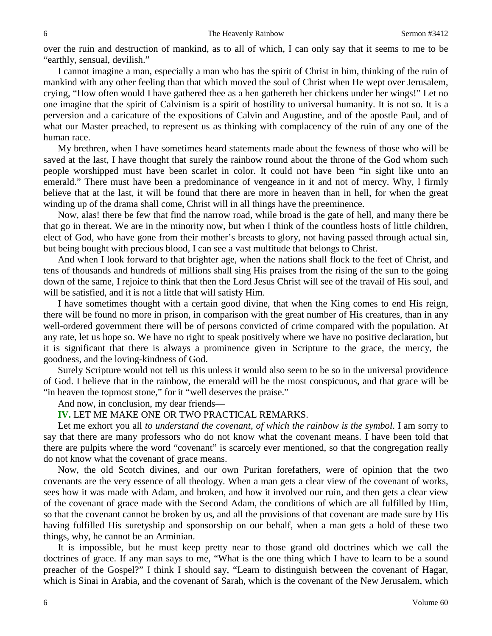over the ruin and destruction of mankind, as to all of which, I can only say that it seems to me to be "earthly, sensual, devilish."

I cannot imagine a man, especially a man who has the spirit of Christ in him, thinking of the ruin of mankind with any other feeling than that which moved the soul of Christ when He wept over Jerusalem, crying, "How often would I have gathered thee as a hen gathereth her chickens under her wings!" Let no one imagine that the spirit of Calvinism is a spirit of hostility to universal humanity. It is not so. It is a perversion and a caricature of the expositions of Calvin and Augustine, and of the apostle Paul, and of what our Master preached, to represent us as thinking with complacency of the ruin of any one of the human race.

My brethren, when I have sometimes heard statements made about the fewness of those who will be saved at the last, I have thought that surely the rainbow round about the throne of the God whom such people worshipped must have been scarlet in color. It could not have been "in sight like unto an emerald." There must have been a predominance of vengeance in it and not of mercy. Why, I firmly believe that at the last, it will be found that there are more in heaven than in hell, for when the great winding up of the drama shall come, Christ will in all things have the preeminence.

Now, alas! there be few that find the narrow road, while broad is the gate of hell, and many there be that go in thereat. We are in the minority now, but when I think of the countless hosts of little children, elect of God, who have gone from their mother's breasts to glory, not having passed through actual sin, but being bought with precious blood, I can see a vast multitude that belongs to Christ.

And when I look forward to that brighter age, when the nations shall flock to the feet of Christ, and tens of thousands and hundreds of millions shall sing His praises from the rising of the sun to the going down of the same, I rejoice to think that then the Lord Jesus Christ will see of the travail of His soul, and will be satisfied, and it is not a little that will satisfy Him.

I have sometimes thought with a certain good divine, that when the King comes to end His reign, there will be found no more in prison, in comparison with the great number of His creatures, than in any well-ordered government there will be of persons convicted of crime compared with the population. At any rate, let us hope so. We have no right to speak positively where we have no positive declaration, but it is significant that there is always a prominence given in Scripture to the grace, the mercy, the goodness, and the loving-kindness of God.

Surely Scripture would not tell us this unless it would also seem to be so in the universal providence of God. I believe that in the rainbow, the emerald will be the most conspicuous, and that grace will be "in heaven the topmost stone," for it "well deserves the praise."

And now, in conclusion, my dear friends—

**IV.** LET ME MAKE ONE OR TWO PRACTICAL REMARKS.

Let me exhort you all *to understand the covenant, of which the rainbow is the symbol*. I am sorry to say that there are many professors who do not know what the covenant means. I have been told that there are pulpits where the word "covenant" is scarcely ever mentioned, so that the congregation really do not know what the covenant of grace means.

Now, the old Scotch divines, and our own Puritan forefathers, were of opinion that the two covenants are the very essence of all theology. When a man gets a clear view of the covenant of works, sees how it was made with Adam, and broken, and how it involved our ruin, and then gets a clear view of the covenant of grace made with the Second Adam, the conditions of which are all fulfilled by Him, so that the covenant cannot be broken by us, and all the provisions of that covenant are made sure by His having fulfilled His suretyship and sponsorship on our behalf, when a man gets a hold of these two things, why, he cannot be an Arminian.

It is impossible, but he must keep pretty near to those grand old doctrines which we call the doctrines of grace. If any man says to me, "What is the one thing which I have to learn to be a sound preacher of the Gospel?" I think I should say, "Learn to distinguish between the covenant of Hagar, which is Sinai in Arabia, and the covenant of Sarah, which is the covenant of the New Jerusalem, which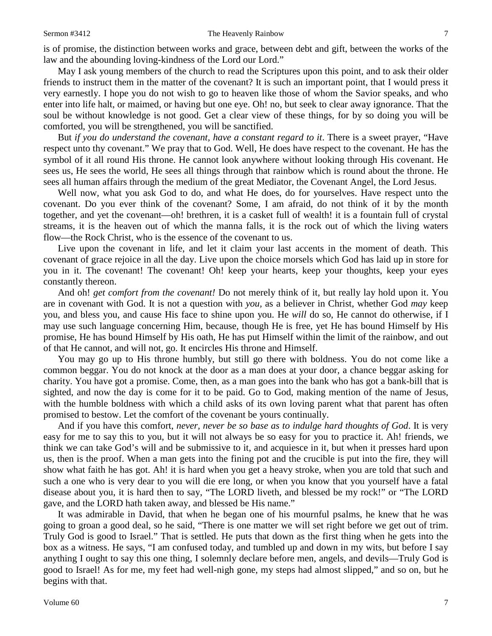is of promise, the distinction between works and grace, between debt and gift, between the works of the law and the abounding loving-kindness of the Lord our Lord."

May I ask young members of the church to read the Scriptures upon this point, and to ask their older friends to instruct them in the matter of the covenant? It is such an important point, that I would press it very earnestly. I hope you do not wish to go to heaven like those of whom the Savior speaks, and who enter into life halt, or maimed, or having but one eye. Oh! no, but seek to clear away ignorance. That the soul be without knowledge is not good. Get a clear view of these things, for by so doing you will be comforted, you will be strengthened, you will be sanctified.

But *if you do understand the covenant, have a constant regard to it*. There is a sweet prayer, "Have respect unto thy covenant." We pray that to God. Well, He does have respect to the covenant. He has the symbol of it all round His throne. He cannot look anywhere without looking through His covenant. He sees us, He sees the world, He sees all things through that rainbow which is round about the throne. He sees all human affairs through the medium of the great Mediator, the Covenant Angel, the Lord Jesus.

Well now, what you ask God to do, and what He does, do for yourselves. Have respect unto the covenant. Do you ever think of the covenant? Some, I am afraid, do not think of it by the month together, and yet the covenant—oh! brethren, it is a casket full of wealth! it is a fountain full of crystal streams, it is the heaven out of which the manna falls, it is the rock out of which the living waters flow—the Rock Christ, who is the essence of the covenant to us.

Live upon the covenant in life, and let it claim your last accents in the moment of death. This covenant of grace rejoice in all the day. Live upon the choice morsels which God has laid up in store for you in it. The covenant! The covenant! Oh! keep your hearts, keep your thoughts, keep your eyes constantly thereon.

And oh! *get comfort from the covenant!* Do not merely think of it, but really lay hold upon it. You are in covenant with God. It is not a question with *you,* as a believer in Christ, whether God *may* keep you, and bless you, and cause His face to shine upon you. He *will* do so, He cannot do otherwise, if I may use such language concerning Him, because, though He is free, yet He has bound Himself by His promise, He has bound Himself by His oath, He has put Himself within the limit of the rainbow, and out of that He cannot, and will not, go. It encircles His throne and Himself.

You may go up to His throne humbly, but still go there with boldness. You do not come like a common beggar. You do not knock at the door as a man does at your door, a chance beggar asking for charity. You have got a promise. Come, then, as a man goes into the bank who has got a bank-bill that is sighted, and now the day is come for it to be paid. Go to God, making mention of the name of Jesus, with the humble boldness with which a child asks of its own loving parent what that parent has often promised to bestow. Let the comfort of the covenant be yours continually.

And if you have this comfort, *never, never be so base as to indulge hard thoughts of God*. It is very easy for me to say this to you, but it will not always be so easy for you to practice it. Ah! friends, we think we can take God's will and be submissive to it, and acquiesce in it, but when it presses hard upon us, then is the proof. When a man gets into the fining pot and the crucible is put into the fire, they will show what faith he has got. Ah! it is hard when you get a heavy stroke, when you are told that such and such a one who is very dear to you will die ere long, or when you know that you yourself have a fatal disease about you, it is hard then to say, "The LORD liveth, and blessed be my rock!" or "The LORD gave, and the LORD hath taken away, and blessed be His name."

It was admirable in David, that when he began one of his mournful psalms, he knew that he was going to groan a good deal, so he said, "There is one matter we will set right before we get out of trim. Truly God is good to Israel." That is settled. He puts that down as the first thing when he gets into the box as a witness. He says, "I am confused today, and tumbled up and down in my wits, but before I say anything I ought to say this one thing, I solemnly declare before men, angels, and devils—Truly God is good to Israel! As for me, my feet had well-nigh gone, my steps had almost slipped," and so on, but he begins with that.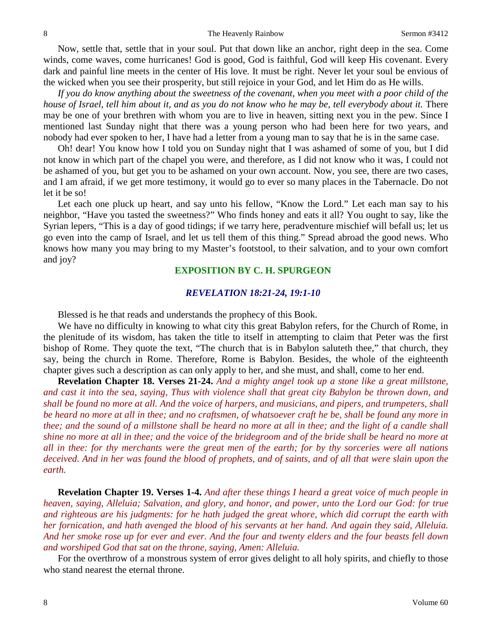Now, settle that, settle that in your soul. Put that down like an anchor, right deep in the sea. Come winds, come waves, come hurricanes! God is good, God is faithful, God will keep His covenant. Every dark and painful line meets in the center of His love. It must be right. Never let your soul be envious of the wicked when you see their prosperity, but still rejoice in your God, and let Him do as He wills.

*If you do know anything about the sweetness of the covenant, when you meet with a poor child of the house of Israel, tell him about it, and as you do not know who he may be, tell everybody about it.* There may be one of your brethren with whom you are to live in heaven, sitting next you in the pew. Since I mentioned last Sunday night that there was a young person who had been here for two years, and nobody had ever spoken to her, I have had a letter from a young man to say that he is in the same case.

Oh! dear! You know how I told you on Sunday night that I was ashamed of some of you, but I did not know in which part of the chapel you were, and therefore, as I did not know who it was, I could not be ashamed of you, but get you to be ashamed on your own account. Now, you see, there are two cases, and I am afraid, if we get more testimony, it would go to ever so many places in the Tabernacle. Do not let it be so!

Let each one pluck up heart, and say unto his fellow, "Know the Lord." Let each man say to his neighbor, "Have you tasted the sweetness?" Who finds honey and eats it all? You ought to say, like the Syrian lepers, "This is a day of good tidings; if we tarry here, peradventure mischief will befall us; let us go even into the camp of Israel, and let us tell them of this thing." Spread abroad the good news. Who knows how many you may bring to my Master's footstool, to their salvation, and to your own comfort and joy?

## **EXPOSITION BY C. H. SPURGEON**

#### *REVELATION 18:21-24, 19:1-10*

Blessed is he that reads and understands the prophecy of this Book.

We have no difficulty in knowing to what city this great Babylon refers, for the Church of Rome, in the plenitude of its wisdom, has taken the title to itself in attempting to claim that Peter was the first bishop of Rome. They quote the text, "The church that is in Babylon saluteth thee," that church, they say, being the church in Rome. Therefore, Rome is Babylon. Besides, the whole of the eighteenth chapter gives such a description as can only apply to her, and she must, and shall, come to her end.

**Revelation Chapter 18. Verses 21-24.** *And a mighty angel took up a stone like a great millstone, and cast it into the sea, saying, Thus with violence shall that great city Babylon be thrown down, and shall be found no more at all. And the voice of harpers, and musicians, and pipers, and trumpeters, shall be heard no more at all in thee; and no craftsmen, of whatsoever craft he be, shall be found any more in thee; and the sound of a millstone shall be heard no more at all in thee; and the light of a candle shall shine no more at all in thee; and the voice of the bridegroom and of the bride shall be heard no more at all in thee: for thy merchants were the great men of the earth; for by thy sorceries were all nations deceived. And in her was found the blood of prophets, and of saints, and of all that were slain upon the earth.*

**Revelation Chapter 19. Verses 1-4.** *And after these things I heard a great voice of much people in heaven, saying, Alleluia; Salvation, and glory, and honor, and power, unto the Lord our God: for true and righteous are his judgments: for he hath judged the great whore, which did corrupt the earth with her fornication, and hath avenged the blood of his servants at her hand. And again they said, Alleluia. And her smoke rose up for ever and ever. And the four and twenty elders and the four beasts fell down and worshiped God that sat on the throne, saying, Amen: Alleluia.*

For the overthrow of a monstrous system of error gives delight to all holy spirits, and chiefly to those who stand nearest the eternal throne.